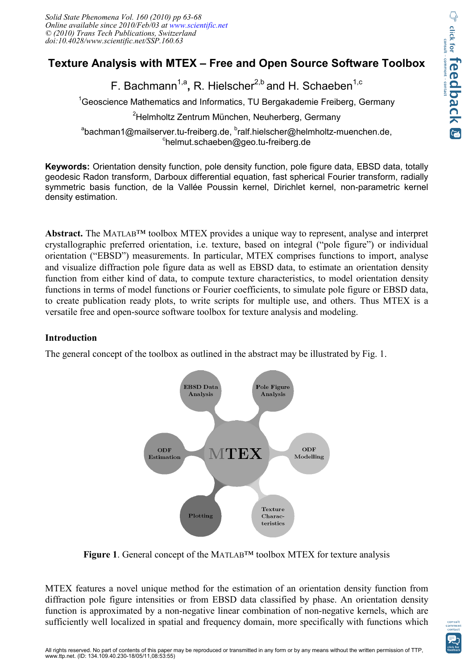# **Texture Analysis with MTEX – Free and Open Source Software Toolbox**

F. Bachmann<sup>1,a</sup>, R. Hielscher<sup>2,b</sup> and H. Schaeben<sup>1,c</sup>

 $1$ Geoscience Mathematics and Informatics, TU Bergakademie Freiberg, Germany

<sup>2</sup>Helmholtz Zentrum München, Neuherberg, Germany

<sup>a</sup>bachman1@mailserver.tu-freiberg.de, <sup>b</sup>ralf.hielscher@helmholtz-muenchen.de, c helmut.schaeben@geo.tu-freiberg.de

**Keywords:** Orientation density function, pole density function, pole figure data, EBSD data, totally geodesic Radon transform, Darboux differential equation, fast spherical Fourier transform, radially symmetric basis function, de la Vallée Poussin kernel, Dirichlet kernel, non-parametric kernel density estimation.

**Abstract.** The MATLAB™ toolbox MTEX provides a unique way to represent, analyse and interpret crystallographic preferred orientation, i.e. texture, based on integral ("pole figure") or individual orientation ("EBSD") measurements. In particular, MTEX comprises functions to import, analyse and visualize diffraction pole figure data as well as EBSD data, to estimate an orientation density function from either kind of data, to compute texture characteristics, to model orientation density functions in terms of model functions or Fourier coefficients, to simulate pole figure or EBSD data, to create publication ready plots, to write scripts for multiple use, and others. Thus MTEX is a versatile free and open-source software toolbox for texture analysis and modeling.

#### **Introduction**

The general concept of the toolbox as outlined in the abstract may be illustrated by Fig. 1.



**Figure 1**. General concept of the MATLAB™ toolbox MTEX for texture analysis

MTEX features a novel unique method for the estimation of an orientation density function from diffraction pole figure intensities or from EBSD data classified by phase. An orientation density function is approximated by a non-negative linear combination of non-negative kernels, which are sufficiently well localized in spatial and frequency domain, more specifically with functions which



没

click for feedback a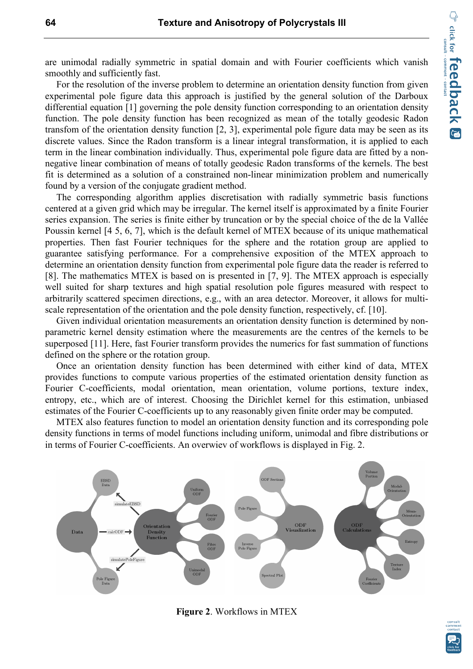are unimodal radially symmetric in spatial domain and with Fourier coefficients which vanish smoothly and sufficiently fast.

For the resolution of the inverse problem to determine an orientation density function from given experimental pole figure data this approach is justified by the general solution of the Darboux differential equation [1] governing the pole density function corresponding to an orientation density function. The pole density function has been recognized as mean of the totally geodesic Radon transfom of the orientation density function [2, 3], experimental pole figure data may be seen as its discrete values. Since the Radon transform is a linear integral transformation, it is applied to each term in the linear combination individually. Thus, experimental pole figure data are fitted by a nonnegative linear combination of means of totally geodesic Radon transforms of the kernels. The best fit is determined as a solution of a constrained non-linear minimization problem and numerically found by a version of the conjugate gradient method.

The corresponding algorithm applies discretisation with radially symmetric basis functions centered at a given grid which may be irregular. The kernel itself is approximated by a finite Fourier series expansion. The series is finite either by truncation or by the special choice of the de la Vallée Poussin kernel [4 5, 6, 7], which is the default kernel of MTEX because of its unique mathematical properties. Then fast Fourier techniques for the sphere and the rotation group are applied to guarantee satisfying performance. For a comprehensive exposition of the MTEX approach to determine an orientation density function from experimental pole figure data the reader is referred to [8]. The mathematics MTEX is based on is presented in [7, 9]. The MTEX approach is especially well suited for sharp textures and high spatial resolution pole figures measured with respect to arbitrarily scattered specimen directions, e.g., with an area detector. Moreover, it allows for multiscale representation of the orientation and the pole density function, respectively, cf. [10].

Given individual orientation measurements an orientation density function is determined by nonparametric kernel density estimation where the measurements are the centres of the kernels to be superposed [11]. Here, fast Fourier transform provides the numerics for fast summation of functions defined on the sphere or the rotation group.

Once an orientation density function has been determined with either kind of data, MTEX provides functions to compute various properties of the estimated orientation density function as Fourier C-coefficients, modal orientation, mean orientation, volume portions, texture index, entropy, etc., which are of interest. Choosing the Dirichlet kernel for this estimation, unbiased estimates of the Fourier C-coefficients up to any reasonably given finite order may be computed.

MTEX also features function to model an orientation density function and its corresponding pole density functions in terms of model functions including uniform, unimodal and fibre distributions or in terms of Fourier C-coefficients. An overwiev of workflows is displayed in Fig. 2.



**Figure 2**. Workflows in MTEX

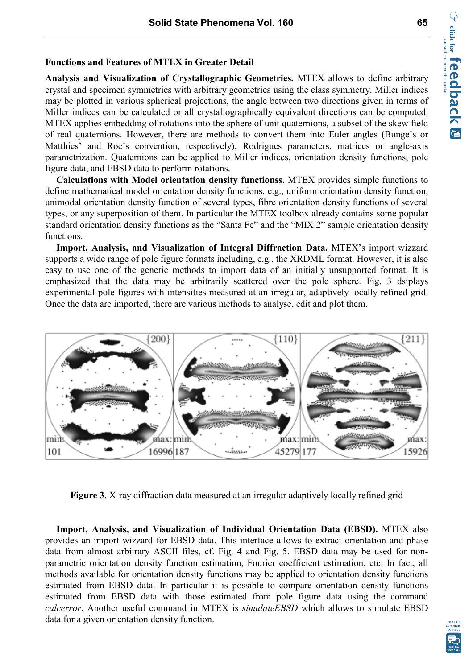# **Functions and Features of MTEX in Greater Detail**

**Analysis and Visualization of Crystallographic Geometries.** MTEX allows to define arbitrary crystal and specimen symmetries with arbitrary geometries using the class symmetry. Miller indices may be plotted in various spherical projections, the angle between two directions given in terms of Miller indices can be calculated or all crystallographically equivalent directions can be computed. MTEX applies embedding of rotations into the sphere of unit quaternions, a subset of the skew field of real quaternions. However, there are methods to convert them into Euler angles (Bunge's or Matthies' and Roe's convention, respectively), Rodrigues parameters, matrices or angle-axis parametrization. Quaternions can be applied to Miller indices, orientation density functions, pole figure data, and EBSD data to perform rotations.

**Calculations with Model orientation density functionss.** MTEX provides simple functions to define mathematical model orientation density functions, e.g., uniform orientation density function, unimodal orientation density function of several types, fibre orientation density functions of several types, or any superposition of them. In particular the MTEX toolbox already contains some popular standard orientation density functions as the "Santa Fe" and the "MIX 2" sample orientation density functions.

**Import, Analysis, and Visualization of Integral Diffraction Data.** MTEX's import wizzard supports a wide range of pole figure formats including, e.g., the XRDML format. However, it is also easy to use one of the generic methods to import data of an initially unsupported format. It is emphasized that the data may be arbitrarily scattered over the pole sphere. Fig. 3 dsiplays experimental pole figures with intensities measured at an irregular, adaptively locally refined grid. Once the data are imported, there are various methods to analyse, edit and plot them.



**Figure 3**. X-ray diffraction data measured at an irregular adaptively locally refined grid

**Import, Analysis, and Visualization of Individual Orientation Data (EBSD).** MTEX also provides an import wizzard for EBSD data. This interface allows to extract orientation and phase data from almost arbitrary ASCII files, cf. Fig. 4 and Fig. 5. EBSD data may be used for nonparametric orientation density function estimation, Fourier coefficient estimation, etc. In fact, all methods available for orientation density functions may be applied to orientation density functions estimated from EBSD data. In particular it is possible to compare orientation density functions estimated from EBSD data with those estimated from pole figure data using the command *calcerror*. Another useful command in MTEX is *simulateEBSD* which allows to simulate EBSD data for a given orientation density function.

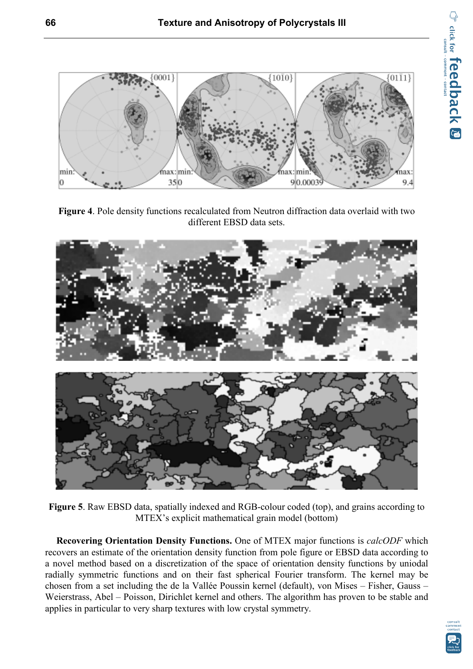

**Figure 4**. Pole density functions recalculated from Neutron diffraction data overlaid with two different EBSD data sets.



**Figure 5**. Raw EBSD data, spatially indexed and RGB-colour coded (top), and grains according to MTEX's explicit mathematical grain model (bottom)

**Recovering Orientation Density Functions.** One of MTEX major functions is *calcODF* which recovers an estimate of the orientation density function from pole figure or EBSD data according to a novel method based on a discretization of the space of orientation density functions by uniodal radially symmetric functions and on their fast spherical Fourier transform. The kernel may be chosen from a set including the de la Vallée Poussin kernel (default), von Mises – Fisher, Gauss – Weierstrass, Abel – Poisson, Dirichlet kernel and others. The algorithm has proven to be stable and applies in particular to very sharp textures with low crystal symmetry.

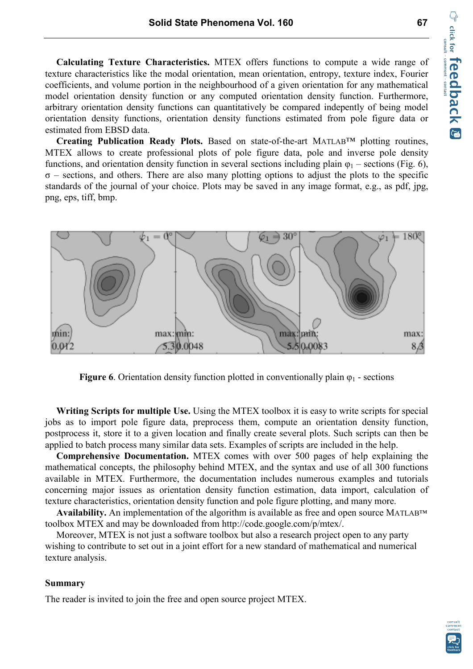**Calculating Texture Characteristics.** MTEX offers functions to compute a wide range of texture characteristics like the modal orientation, mean orientation, entropy, texture index, Fourier coefficients, and volume portion in the neighbourhood of a given orientation for any mathematical model orientation density function or any computed orientation density function. Furthermore, arbitrary orientation density functions can quantitatively be compared indepently of being model orientation density functions, orientation density functions estimated from pole figure data or estimated from EBSD data.

**Creating Publication Ready Plots.** Based on state-of-the-art MATLAB™ plotting routines, MTEX allows to create professional plots of pole figure data, pole and inverse pole density functions, and orientation density function in several sections including plain  $\varphi_1$  – sections (Fig. 6), σ – sections, and others. There are also many plotting options to adjust the plots to the specific standards of the journal of your choice. Plots may be saved in any image format, e.g., as pdf, jpg, png, eps, tiff, bmp.



**Figure 6**. Orientation density function plotted in conventionally plain  $\varphi_1$  - sections

**Writing Scripts for multiple Use.** Using the MTEX toolbox it is easy to write scripts for special jobs as to import pole figure data, preprocess them, compute an orientation density function, postprocess it, store it to a given location and finally create several plots. Such scripts can then be applied to batch process many similar data sets. Examples of scripts are included in the help.

**Comprehensive Documentation.** MTEX comes with over 500 pages of help explaining the mathematical concepts, the philosophy behind MTEX, and the syntax and use of all 300 functions available in MTEX. Furthermore, the documentation includes numerous examples and tutorials concerning major issues as orientation density function estimation, data import, calculation of texture characteristics, orientation density function and pole figure plotting, and many more.

**Availability.** An implementation of the algorithm is available as free and open source MATLAB™ toolbox MTEX and may be downloaded from http://code.google.com/p/mtex/.

Moreover, MTEX is not just a software toolbox but also a research project open to any party wishing to contribute to set out in a joint effort for a new standard of mathematical and numerical texture analysis.

#### **Summary**

The reader is invited to join the free and open source project MTEX.

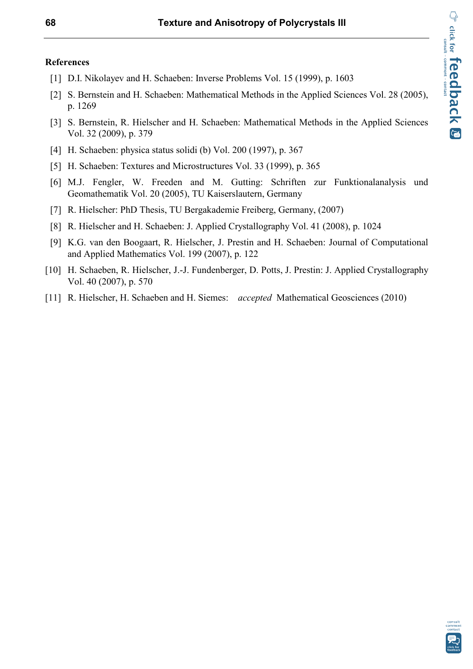#### **References**

- [1] D.I. Nikolayev and H. Schaeben: Inverse Problems Vol. 15 (1999), p. 1603
- [2] S. Bernstein and H. Schaeben: Mathematical Methods in the Applied Sciences Vol. 28 (2005), p. 1269
- [3] S. Bernstein, R. Hielscher and H. Schaeben: Mathematical Methods in the Applied Sciences Vol. 32 (2009), p. 379
- [4] H. Schaeben: physica status solidi (b) Vol. 200 (1997), p. 367
- [5] H. Schaeben: Textures and Microstructures Vol. 33 (1999), p. 365
- [6] M.J. Fengler, W. Freeden and M. Gutting: Schriften zur Funktionalanalysis und Geomathematik Vol. 20 (2005), TU Kaiserslautern, Germany
- [7] R. Hielscher: PhD Thesis, TU Bergakademie Freiberg, Germany, (2007)
- [8] R. Hielscher and H. Schaeben: J. Applied Crystallography Vol. 41 (2008), p. 1024
- [9] K.G. van den Boogaart, R. Hielscher, J. Prestin and H. Schaeben: Journal of Computational and Applied Mathematics Vol. 199 (2007), p. 122
- [10] H. Schaeben, R. Hielscher, J.-J. Fundenberger, D. Potts, J. Prestin: J. Applied Crystallography Vol. 40 (2007), p. 570
- [11] R. Hielscher, H. Schaeben and H. Siemes: *accepted* Mathematical Geosciences (2010)

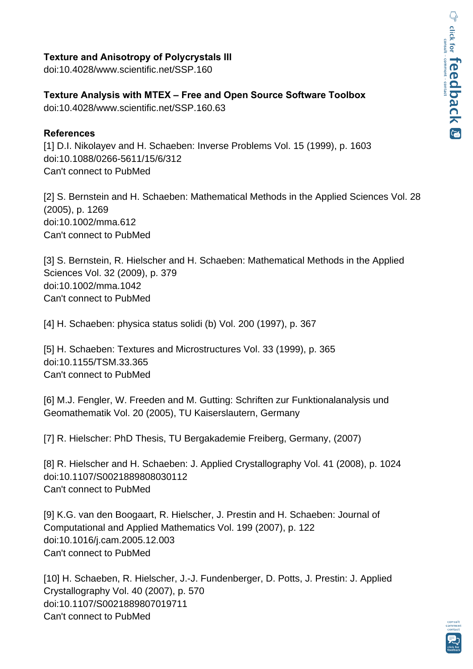# **Texture and Anisotropy of Polycrystals III**

doi:10.4028/www.scientific.net/SSP.160

## **Texture Analysis with MTEX – Free and Open Source Software Toolbox**

doi:10.4028/www.scientific.net/SSP.160.63

### **References**

[1] D.I. Nikolayev and H. Schaeben: Inverse Problems Vol. 15 (1999), p. 1603 doi:10.1088/0266-5611/15/6/312 Can't connect to PubMed

[2] S. Bernstein and H. Schaeben: Mathematical Methods in the Applied Sciences Vol. 28 (2005), p. 1269 doi:10.1002/mma.612 Can't connect to PubMed

[3] S. Bernstein, R. Hielscher and H. Schaeben: Mathematical Methods in the Applied Sciences Vol. 32 (2009), p. 379 doi:10.1002/mma.1042 Can't connect to PubMed

[4] H. Schaeben: physica status solidi (b) Vol. 200 (1997), p. 367

[5] H. Schaeben: Textures and Microstructures Vol. 33 (1999), p. 365 doi:10.1155/TSM.33.365 Can't connect to PubMed

[6] M.J. Fengler, W. Freeden and M. Gutting: Schriften zur Funktionalanalysis und Geomathematik Vol. 20 (2005), TU Kaiserslautern, Germany

[7] R. Hielscher: PhD Thesis, TU Bergakademie Freiberg, Germany, (2007)

[8] R. Hielscher and H. Schaeben: J. Applied Crystallography Vol. 41 (2008), p. 1024 doi:10.1107/S0021889808030112 Can't connect to PubMed

[9] K.G. van den Boogaart, R. Hielscher, J. Prestin and H. Schaeben: Journal of Computational and Applied Mathematics Vol. 199 (2007), p. 122 doi:10.1016/j.cam.2005.12.003 Can't connect to PubMed

[10] H. Schaeben, R. Hielscher, J.-J. Fundenberger, D. Potts, J. Prestin: J. Applied Crystallography Vol. 40 (2007), p. 570 doi:10.1107/S0021889807019711 Can't connect to PubMed